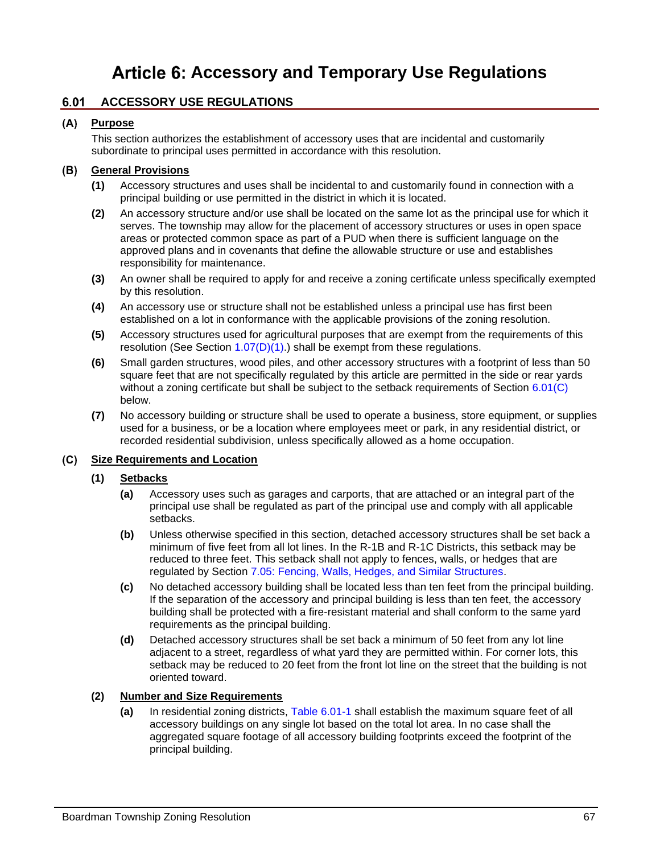# Article 6: Accessory and Temporary Use Regulations

# <span id="page-0-1"></span>**6.01 ACCESSORY USE REGULATIONS**

# **Purpose**

This section authorizes the establishment of accessory uses that are incidental and customarily subordinate to principal uses permitted in accordance with this resolution.

# **General Provisions**

- **(1)** Accessory structures and uses shall be incidental to and customarily found in connection with a principal building or use permitted in the district in which it is located.
- **(2)** An accessory structure and/or use shall be located on the same lot as the principal use for which it serves. The township may allow for the placement of accessory structures or uses in open space areas or protected common space as part of a PUD when there is sufficient language on the approved plans and in covenants that define the allowable structure or use and establishes responsibility for maintenance.
- **(3)** An owner shall be required to apply for and receive a zoning certificate unless specifically exempted by this resolution.
- **(4)** An accessory use or structure shall not be established unless a principal use has first been established on a lot in conformance with the applicable provisions of the zoning resolution.
- **(5)** Accessory structures used for agricultural purposes that are exempt from the requirements of this resolution (See Section  $1.07(D)(1)$ .) shall be exempt from these regulations.
- **(6)** Small garden structures, wood piles, and other accessory structures with a footprint of less than 50 square feet that are not specifically regulated by this article are permitted in the side or rear yards without a zoning certificate but shall be subject to the setback requirements of Section [6.01\(C\)](#page-0-0) below.
- **(7)** No accessory building or structure shall be used to operate a business, store equipment, or supplies used for a business, or be a location where employees meet or park, in any residential district, or recorded residential subdivision, unless specifically allowed as a home occupation.

# <span id="page-0-0"></span>**Size Requirements and Location**

# **(1) Setbacks**

- **(a)** Accessory uses such as garages and carports, that are attached or an integral part of the principal use shall be regulated as part of the principal use and comply with all applicable setbacks.
- **(b)** Unless otherwise specified in this section, detached accessory structures shall be set back a minimum of five feet from all lot lines. In the R-1B and R-1C Districts, this setback may be reduced to three feet. This setback shall not apply to fences, walls, or hedges that are regulated by Section 7.05: Fencing, Walls, Hedges, and Similar Structures.
- **(c)** No detached accessory building shall be located less than ten feet from the principal building. If the separation of the accessory and principal building is less than ten feet, the accessory building shall be protected with a fire-resistant material and shall conform to the same yard requirements as the principal building.
- **(d)** Detached accessory structures shall be set back a minimum of 50 feet from any lot line adjacent to a street, regardless of what yard they are permitted within. For corner lots, this setback may be reduced to 20 feet from the front lot line on the street that the building is not oriented toward.

# **(2) Number and Size Requirements**

**(a)** In residential zoning districts, [Table 6.01-1](#page-1-0) shall establish the maximum square feet of all accessory buildings on any single lot based on the total lot area. In no case shall the aggregated square footage of all accessory building footprints exceed the footprint of the principal building.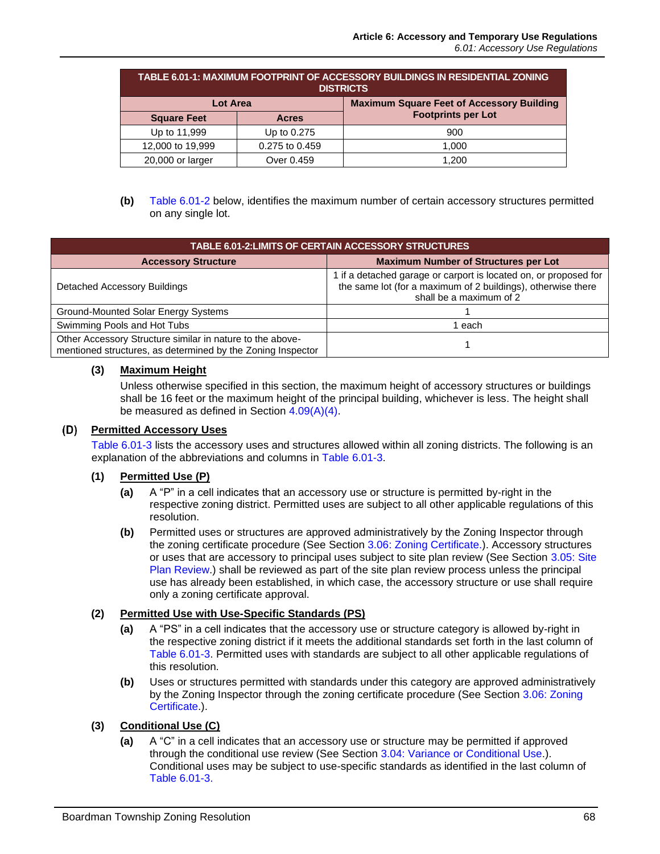<span id="page-1-0"></span>

| TABLE 6.01-1: MAXIMUM FOOTPRINT OF ACCESSORY BUILDINGS IN RESIDENTIAL ZONING<br><b>DISTRICTS</b> |                |                                                  |  |
|--------------------------------------------------------------------------------------------------|----------------|--------------------------------------------------|--|
| <b>Lot Area</b>                                                                                  |                | <b>Maximum Square Feet of Accessory Building</b> |  |
| <b>Square Feet</b>                                                                               | <b>Acres</b>   | <b>Footprints per Lot</b>                        |  |
| Up to 11,999                                                                                     | Up to 0.275    | 900                                              |  |
| 12,000 to 19,999                                                                                 | 0.275 to 0.459 | 1,000                                            |  |
| 20,000 or larger                                                                                 | Over 0.459     | 1.200                                            |  |

**(b)** [Table 6.01-2](#page-1-1) below, identifies the maximum number of certain accessory structures permitted on any single lot.

<span id="page-1-1"></span>

| <b>TABLE 6.01-2:LIMITS OF CERTAIN ACCESSORY STRUCTURES</b>                                                               |                                                                                                                                                             |  |
|--------------------------------------------------------------------------------------------------------------------------|-------------------------------------------------------------------------------------------------------------------------------------------------------------|--|
| <b>Accessory Structure</b>                                                                                               | <b>Maximum Number of Structures per Lot</b>                                                                                                                 |  |
| Detached Accessory Buildings                                                                                             | 1 if a detached garage or carport is located on, or proposed for<br>the same lot (for a maximum of 2 buildings), otherwise there<br>shall be a maximum of 2 |  |
| Ground-Mounted Solar Energy Systems                                                                                      |                                                                                                                                                             |  |
| Swimming Pools and Hot Tubs                                                                                              | each                                                                                                                                                        |  |
| Other Accessory Structure similar in nature to the above-<br>mentioned structures, as determined by the Zoning Inspector |                                                                                                                                                             |  |

# **(3) Maximum Height**

Unless otherwise specified in this section, the maximum height of accessory structures or buildings shall be 16 feet or the maximum height of the principal building, whichever is less. The height shall be measured as defined in Section 4.09(A)(4).

#### <span id="page-1-2"></span>**Permitted Accessory Uses**

[Table 6.01-3](#page-2-0) lists the accessory uses and structures allowed within all zoning districts. The following is an explanation of the abbreviations and columns in [Table 6.01-3.](#page-2-0)

# **(1) Permitted Use (P)**

- **(a)** A "P" in a cell indicates that an accessory use or structure is permitted by-right in the respective zoning district. Permitted uses are subject to all other applicable regulations of this resolution.
- **(b)** Permitted uses or structures are approved administratively by the Zoning Inspector through the zoning certificate procedure (See Section 3.06: Zoning Certificate.). Accessory structures or uses that are accessory to principal uses subject to site plan review (See Section 3.05: Site Plan Review.) shall be reviewed as part of the site plan review process unless the principal use has already been established, in which case, the accessory structure or use shall require only a zoning certificate approval.

# **(2) Permitted Use with Use-Specific Standards (PS)**

- **(a)** A "PS" in a cell indicates that the accessory use or structure category is allowed by-right in the respective zoning district if it meets the additional standards set forth in the last column of [Table 6.01-3.](#page-2-0) Permitted uses with standards are subject to all other applicable regulations of this resolution.
- **(b)** Uses or structures permitted with standards under this category are approved administratively by the Zoning Inspector through the zoning certificate procedure (See Section 3.06: Zoning Certificate.).

# **(3) Conditional Use (C)**

**(a)** A "C" in a cell indicates that an accessory use or structure may be permitted if approved through the conditional use review (See Section 3.04: Variance or Conditional Use.). Conditional uses may be subject to use-specific standards as identified in the last column of [Table 6.01-3.](#page-2-0)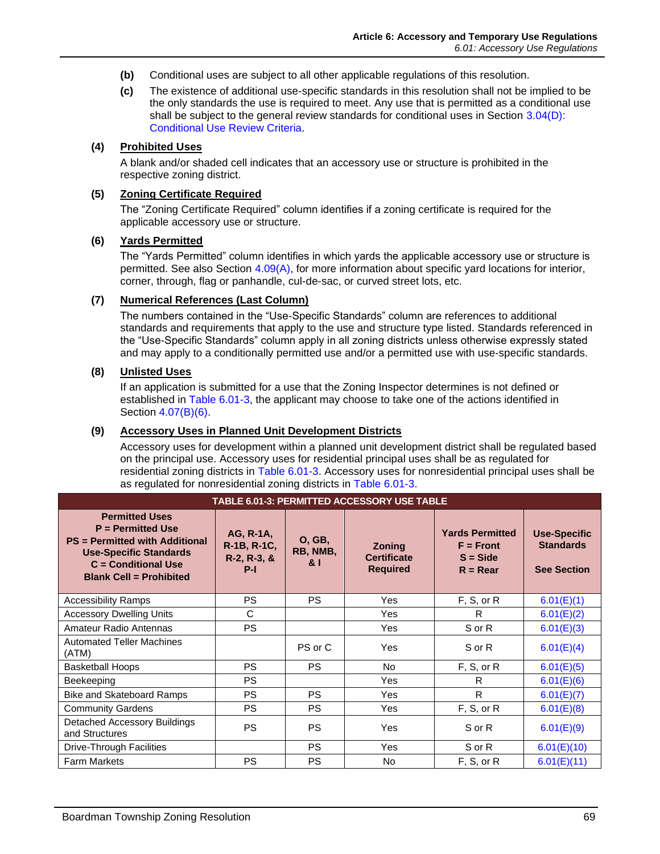- **(b)** Conditional uses are subject to all other applicable regulations of this resolution.
- **(c)** The existence of additional use-specific standards in this resolution shall not be implied to be the only standards the use is required to meet. Any use that is permitted as a conditional use shall be subject to the general review standards for conditional uses in Section  $3.04(D)$ : Conditional Use Review Criteria.

# **(4) Prohibited Uses**

A blank and/or shaded cell indicates that an accessory use or structure is prohibited in the respective zoning district.

#### **(5) Zoning Certificate Required**

The "Zoning Certificate Required" column identifies if a zoning certificate is required for the applicable accessory use or structure.

#### **(6) Yards Permitted**

The "Yards Permitted" column identifies in which yards the applicable accessory use or structure is permitted. See also Section 4.09(A), for more information about specific yard locations for interior, corner, through, flag or panhandle, cul-de-sac, or curved street lots, etc.

#### **(7) Numerical References (Last Column)**

The numbers contained in the "Use-Specific Standards" column are references to additional standards and requirements that apply to the use and structure type listed. Standards referenced in the "Use-Specific Standards" column apply in all zoning districts unless otherwise expressly stated and may apply to a conditionally permitted use and/or a permitted use with use-specific standards.

#### **(8) Unlisted Uses**

If an application is submitted for a use that the Zoning Inspector determines is not defined or established in [Table 6.01-3,](#page-2-0) the applicant may choose to take one of the actions identified in Section 4.07(B)(6).

#### **(9) Accessory Uses in Planned Unit Development Districts**

Accessory uses for development within a planned unit development district shall be regulated based on the principal use. Accessory uses for residential principal uses shall be as regulated for residential zoning districts in [Table 6.01-3.](#page-2-0) Accessory uses for nonresidential principal uses shall be as regulated for nonresidential zoning districts in [Table 6.01-3.](#page-2-0)

<span id="page-2-0"></span>

| TABLE 6.01-3: PERMITTED ACCESSORY USE TABLE                                                                                                                                       |                                                     |                                  |                                                        |                                                                   |                                                               |
|-----------------------------------------------------------------------------------------------------------------------------------------------------------------------------------|-----------------------------------------------------|----------------------------------|--------------------------------------------------------|-------------------------------------------------------------------|---------------------------------------------------------------|
| <b>Permitted Uses</b><br>$P = Permitted Use$<br><b>PS</b> = Permitted with Additional<br><b>Use-Specific Standards</b><br>$C =$ Conditional Use<br><b>Blank Cell = Prohibited</b> | AG, R-1A,<br>R-1B, R-1C,<br>$R-2, R-3, \&$<br>$P-I$ | <b>O, GB,</b><br>RB, NMB,<br>& I | <b>Zoning</b><br><b>Certificate</b><br><b>Required</b> | <b>Yards Permitted</b><br>$F =$ Front<br>$S = Side$<br>$R = Rear$ | <b>Use-Specific</b><br><b>Standards</b><br><b>See Section</b> |
| <b>Accessibility Ramps</b>                                                                                                                                                        | <b>PS</b>                                           | PS.                              | Yes                                                    | F, S, or R                                                        | 6.01(E)(1)                                                    |
| <b>Accessory Dwelling Units</b>                                                                                                                                                   | C                                                   |                                  | <b>Yes</b>                                             | R                                                                 | 6.01(E)(2)                                                    |
| Amateur Radio Antennas                                                                                                                                                            | <b>PS</b>                                           |                                  | Yes                                                    | S or R                                                            | 6.01(E)(3)                                                    |
| <b>Automated Teller Machines</b><br>(ATM)                                                                                                                                         |                                                     | PS or C                          | Yes                                                    | S or R                                                            | 6.01(E)(4)                                                    |
| <b>Basketball Hoops</b>                                                                                                                                                           | <b>PS</b>                                           | PS.                              | No.                                                    | F, S, or R                                                        | 6.01(E)(5)                                                    |
| Beekeeping                                                                                                                                                                        | <b>PS</b>                                           |                                  | Yes                                                    | R                                                                 | 6.01(E)(6)                                                    |
| <b>Bike and Skateboard Ramps</b>                                                                                                                                                  | <b>PS</b>                                           | <b>PS</b>                        | Yes                                                    | R                                                                 | 6.01(E)(7)                                                    |
| <b>Community Gardens</b>                                                                                                                                                          | <b>PS</b>                                           | PS.                              | Yes                                                    | F, S, or R                                                        | 6.01(E)(8)                                                    |
| Detached Accessory Buildings<br>and Structures                                                                                                                                    | <b>PS</b>                                           | <b>PS</b>                        | Yes                                                    | S or R                                                            | 6.01(E)(9)                                                    |
| Drive-Through Facilities                                                                                                                                                          |                                                     | <b>PS</b>                        | Yes                                                    | S or R                                                            | 6.01(E)(10)                                                   |
| <b>Farm Markets</b>                                                                                                                                                               | <b>PS</b>                                           | <b>PS</b>                        | No                                                     | F, S, or R                                                        | 6.01(E)(11)                                                   |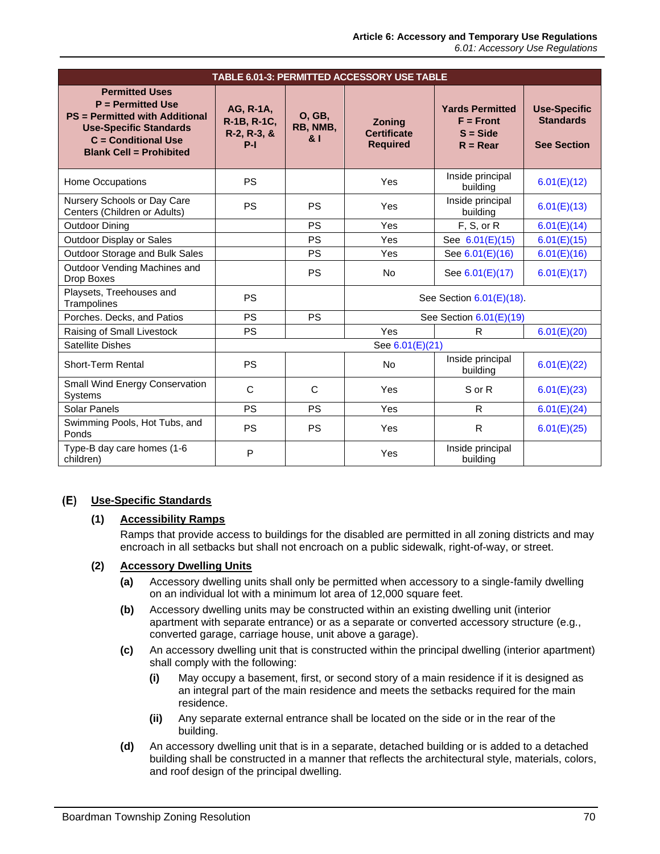| TABLE 6.01-3: PERMITTED ACCESSORY USE TABLE                                                                                                                                       |                                                  |                                 |                                                 |                                                                   |                                                               |
|-----------------------------------------------------------------------------------------------------------------------------------------------------------------------------------|--------------------------------------------------|---------------------------------|-------------------------------------------------|-------------------------------------------------------------------|---------------------------------------------------------------|
| <b>Permitted Uses</b><br>$P = Permitted Use$<br><b>PS</b> = Permitted with Additional<br><b>Use-Specific Standards</b><br>$C =$ Conditional Use<br><b>Blank Cell = Prohibited</b> | AG, R-1A,<br>R-1B, R-1C,<br>R-2, R-3, &<br>$P-I$ | <b>O, GB,</b><br>RB, NMB,<br>81 | Zoning<br><b>Certificate</b><br><b>Required</b> | <b>Yards Permitted</b><br>$F =$ Front<br>$S = Side$<br>$R = Rear$ | <b>Use-Specific</b><br><b>Standards</b><br><b>See Section</b> |
| Home Occupations                                                                                                                                                                  | PS                                               |                                 | Yes                                             | Inside principal<br>building                                      | 6.01(E)(12)                                                   |
| Nursery Schools or Day Care<br>Centers (Children or Adults)                                                                                                                       | PS                                               | <b>PS</b>                       | Yes                                             | Inside principal<br>building                                      | 6.01(E)(13)                                                   |
| <b>Outdoor Dining</b>                                                                                                                                                             |                                                  | PS                              | Yes                                             | F, S, or R                                                        | 6.01(E)(14)                                                   |
| Outdoor Display or Sales                                                                                                                                                          |                                                  | <b>PS</b>                       | Yes                                             | See 6.01(E)(15)                                                   | 6.01(E)(15)                                                   |
| Outdoor Storage and Bulk Sales                                                                                                                                                    |                                                  | <b>PS</b>                       | Yes                                             | See 6.01(E)(16)                                                   | 6.01(E)(16)                                                   |
| Outdoor Vending Machines and<br>Drop Boxes                                                                                                                                        |                                                  | <b>PS</b>                       | <b>No</b>                                       | See 6.01(E)(17)                                                   | 6.01(E)(17)                                                   |
| Playsets, Treehouses and<br>Trampolines                                                                                                                                           | PS                                               |                                 | See Section 6.01(E)(18).                        |                                                                   |                                                               |
| Porches. Decks, and Patios                                                                                                                                                        | PS                                               | <b>PS</b>                       | See Section 6.01(E)(19)                         |                                                                   |                                                               |
| Raising of Small Livestock                                                                                                                                                        | <b>PS</b>                                        |                                 | Yes                                             | R                                                                 | 6.01(E)(20)                                                   |
| <b>Satellite Dishes</b>                                                                                                                                                           | See 6.01(E)(21)                                  |                                 |                                                 |                                                                   |                                                               |
| Short-Term Rental                                                                                                                                                                 | PS                                               |                                 | <b>No</b>                                       | Inside principal<br>building                                      | 6.01(E)(22)                                                   |
| Small Wind Energy Conservation<br>Systems                                                                                                                                         | $\mathsf{C}$                                     | $\mathsf{C}$                    | Yes                                             | S or R                                                            | 6.01(E)(23)                                                   |
| Solar Panels                                                                                                                                                                      | PS                                               | <b>PS</b>                       | Yes                                             | $\mathsf{R}$                                                      | 6.01(E)(24)                                                   |
| Swimming Pools, Hot Tubs, and<br>Ponds                                                                                                                                            | <b>PS</b>                                        | <b>PS</b>                       | Yes                                             | $\mathsf{R}$                                                      | 6.01(E)(25)                                                   |
| Type-B day care homes (1-6<br>children)                                                                                                                                           | P                                                |                                 | Yes                                             | Inside principal<br>building                                      |                                                               |

# <span id="page-3-0"></span>**Use-Specific Standards**

# **(1) Accessibility Ramps**

Ramps that provide access to buildings for the disabled are permitted in all zoning districts and may encroach in all setbacks but shall not encroach on a public sidewalk, right-of-way, or street.

# <span id="page-3-1"></span>**(2) Accessory Dwelling Units**

- **(a)** Accessory dwelling units shall only be permitted when accessory to a single-family dwelling on an individual lot with a minimum lot area of 12,000 square feet.
- **(b)** Accessory dwelling units may be constructed within an existing dwelling unit (interior apartment with separate entrance) or as a separate or converted accessory structure (e.g., converted garage, carriage house, unit above a garage).
- **(c)** An accessory dwelling unit that is constructed within the principal dwelling (interior apartment) shall comply with the following:
	- **(i)** May occupy a basement, first, or second story of a main residence if it is designed as an integral part of the main residence and meets the setbacks required for the main residence.
	- **(ii)** Any separate external entrance shall be located on the side or in the rear of the building.
- **(d)** An accessory dwelling unit that is in a separate, detached building or is added to a detached building shall be constructed in a manner that reflects the architectural style, materials, colors, and roof design of the principal dwelling.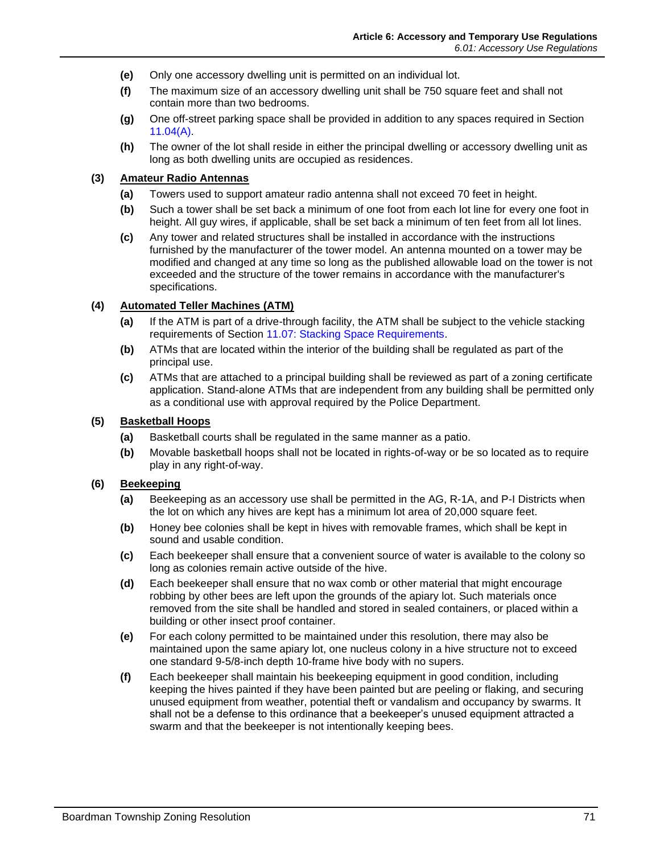- **(e)** Only one accessory dwelling unit is permitted on an individual lot.
- **(f)** The maximum size of an accessory dwelling unit shall be 750 square feet and shall not contain more than two bedrooms.
- **(g)** One off-street parking space shall be provided in addition to any spaces required in Section 11.04(A).
- **(h)** The owner of the lot shall reside in either the principal dwelling or accessory dwelling unit as long as both dwelling units are occupied as residences.

#### <span id="page-4-0"></span>**(3) Amateur Radio Antennas**

- **(a)** Towers used to support amateur radio antenna shall not exceed 70 feet in height.
- **(b)** Such a tower shall be set back a minimum of one foot from each lot line for every one foot in height. All guy wires, if applicable, shall be set back a minimum of ten feet from all lot lines.
- **(c)** Any tower and related structures shall be installed in accordance with the instructions furnished by the manufacturer of the tower model. An antenna mounted on a tower may be modified and changed at any time so long as the published allowable load on the tower is not exceeded and the structure of the tower remains in accordance with the manufacturer's specifications.

# <span id="page-4-1"></span>**(4) Automated Teller Machines (ATM)**

- **(a)** If the ATM is part of a drive-through facility, the ATM shall be subject to the vehicle stacking requirements of Section 11.07: Stacking Space Requirements.
- **(b)** ATMs that are located within the interior of the building shall be regulated as part of the principal use.
- **(c)** ATMs that are attached to a principal building shall be reviewed as part of a zoning certificate application. Stand-alone ATMs that are independent from any building shall be permitted only as a conditional use with approval required by the Police Department.

#### <span id="page-4-2"></span>**(5) Basketball Hoops**

- **(a)** Basketball courts shall be regulated in the same manner as a patio.
- **(b)** Movable basketball hoops shall not be located in rights-of-way or be so located as to require play in any right-of-way.

# <span id="page-4-3"></span>**(6) Beekeeping**

- **(a)** Beekeeping as an accessory use shall be permitted in the AG, R-1A, and P-I Districts when the lot on which any hives are kept has a minimum lot area of 20,000 square feet.
- **(b)** Honey bee colonies shall be kept in hives with removable frames, which shall be kept in sound and usable condition.
- **(c)** Each beekeeper shall ensure that a convenient source of water is available to the colony so long as colonies remain active outside of the hive.
- **(d)** Each beekeeper shall ensure that no wax comb or other material that might encourage robbing by other bees are left upon the grounds of the apiary lot. Such materials once removed from the site shall be handled and stored in sealed containers, or placed within a building or other insect proof container.
- **(e)** For each colony permitted to be maintained under this resolution, there may also be maintained upon the same apiary lot, one nucleus colony in a hive structure not to exceed one standard 9-5/8-inch depth 10-frame hive body with no supers.
- **(f)** Each beekeeper shall maintain his beekeeping equipment in good condition, including keeping the hives painted if they have been painted but are peeling or flaking, and securing unused equipment from weather, potential theft or vandalism and occupancy by swarms. It shall not be a defense to this ordinance that a beekeeper's unused equipment attracted a swarm and that the beekeeper is not intentionally keeping bees.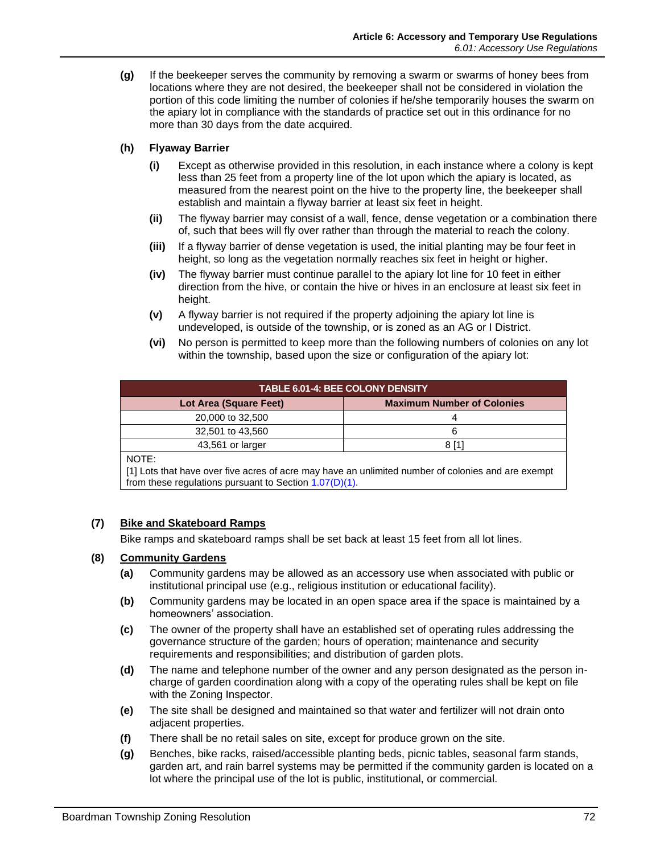**(g)** If the beekeeper serves the community by removing a swarm or swarms of honey bees from locations where they are not desired, the beekeeper shall not be considered in violation the portion of this code limiting the number of colonies if he/she temporarily houses the swarm on the apiary lot in compliance with the standards of practice set out in this ordinance for no more than 30 days from the date acquired.

# **(h) Flyaway Barrier**

- **(i)** Except as otherwise provided in this resolution, in each instance where a colony is kept less than 25 feet from a property line of the lot upon which the apiary is located, as measured from the nearest point on the hive to the property line, the beekeeper shall establish and maintain a flyway barrier at least six feet in height.
- **(ii)** The flyway barrier may consist of a wall, fence, dense vegetation or a combination there of, such that bees will fly over rather than through the material to reach the colony.
- **(iii)** If a flyway barrier of dense vegetation is used, the initial planting may be four feet in height, so long as the vegetation normally reaches six feet in height or higher.
- **(iv)** The flyway barrier must continue parallel to the apiary lot line for 10 feet in either direction from the hive, or contain the hive or hives in an enclosure at least six feet in height.
- **(v)** A flyway barrier is not required if the property adjoining the apiary lot line is undeveloped, is outside of the township, or is zoned as an AG or I District.
- **(vi)** No person is permitted to keep more than the following numbers of colonies on any lot within the township, based upon the size or configuration of the apiary lot:

| <b>TABLE 6.01-4: BEE COLONY DENSITY</b> |                                   |  |  |
|-----------------------------------------|-----------------------------------|--|--|
| Lot Area (Square Feet)                  | <b>Maximum Number of Colonies</b> |  |  |
| 20,000 to 32,500                        |                                   |  |  |
| 32,501 to 43,560                        | 6                                 |  |  |
| 43,561 or larger                        | 8 [1]                             |  |  |
|                                         |                                   |  |  |

NOTE:

[1] Lots that have over five acres of acre may have an unlimited number of colonies and are exempt from these regulations pursuant to Section 1.07(D)(1).

# <span id="page-5-0"></span>**(7) Bike and Skateboard Ramps**

Bike ramps and skateboard ramps shall be set back at least 15 feet from all lot lines.

# <span id="page-5-1"></span>**(8) Community Gardens**

- **(a)** Community gardens may be allowed as an accessory use when associated with public or institutional principal use (e.g., religious institution or educational facility).
- **(b)** Community gardens may be located in an open space area if the space is maintained by a homeowners' association.
- **(c)** The owner of the property shall have an established set of operating rules addressing the governance structure of the garden; hours of operation; maintenance and security requirements and responsibilities; and distribution of garden plots.
- **(d)** The name and telephone number of the owner and any person designated as the person incharge of garden coordination along with a copy of the operating rules shall be kept on file with the Zoning Inspector.
- **(e)** The site shall be designed and maintained so that water and fertilizer will not drain onto adjacent properties.
- **(f)** There shall be no retail sales on site, except for produce grown on the site.
- **(g)** Benches, bike racks, raised/accessible planting beds, picnic tables, seasonal farm stands, garden art, and rain barrel systems may be permitted if the community garden is located on a lot where the principal use of the lot is public, institutional, or commercial.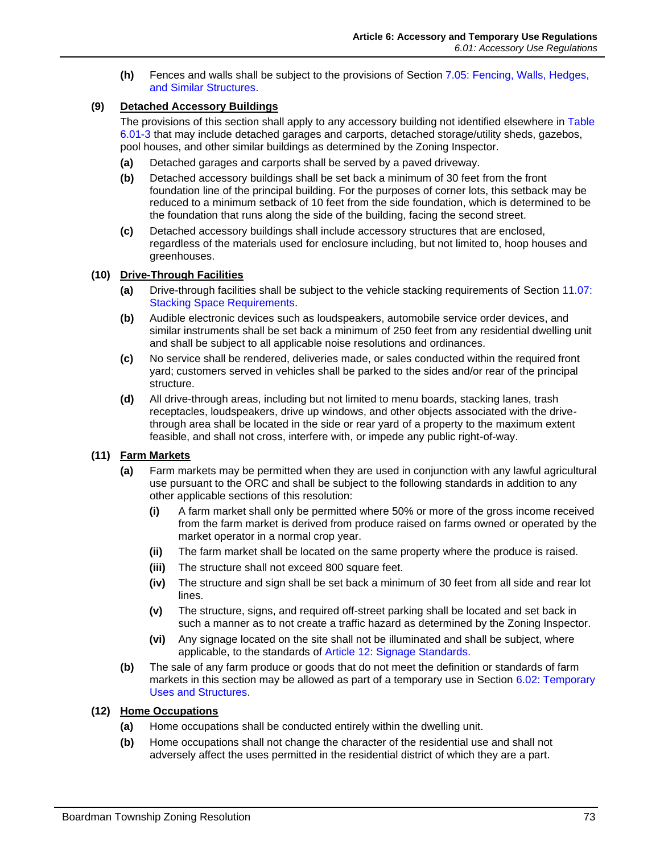**(h)** Fences and walls shall be subject to the provisions of Section 7.05: Fencing, Walls, Hedges, and Similar Structures.

# <span id="page-6-0"></span>**(9) Detached Accessory Buildings**

The provisions of this section shall apply to any accessory building not identified elsewhere in [Table](#page-2-0)  [6.01-3](#page-2-0) that may include detached garages and carports, detached storage/utility sheds, gazebos, pool houses, and other similar buildings as determined by the Zoning Inspector.

- **(a)** Detached garages and carports shall be served by a paved driveway.
- **(b)** Detached accessory buildings shall be set back a minimum of 30 feet from the front foundation line of the principal building. For the purposes of corner lots, this setback may be reduced to a minimum setback of 10 feet from the side foundation, which is determined to be the foundation that runs along the side of the building, facing the second street.
- **(c)** Detached accessory buildings shall include accessory structures that are enclosed, regardless of the materials used for enclosure including, but not limited to, hoop houses and greenhouses.

#### <span id="page-6-1"></span>**(10) Drive-Through Facilities**

- **(a)** Drive-through facilities shall be subject to the vehicle stacking requirements of Section 11.07: Stacking Space Requirements.
- **(b)** Audible electronic devices such as loudspeakers, automobile service order devices, and similar instruments shall be set back a minimum of 250 feet from any residential dwelling unit and shall be subject to all applicable noise resolutions and ordinances.
- **(c)** No service shall be rendered, deliveries made, or sales conducted within the required front yard; customers served in vehicles shall be parked to the sides and/or rear of the principal structure.
- **(d)** All drive-through areas, including but not limited to menu boards, stacking lanes, trash receptacles, loudspeakers, drive up windows, and other objects associated with the drivethrough area shall be located in the side or rear yard of a property to the maximum extent feasible, and shall not cross, interfere with, or impede any public right-of-way.

# <span id="page-6-2"></span>**(11) Farm Markets**

- **(a)** Farm markets may be permitted when they are used in conjunction with any lawful agricultural use pursuant to the ORC and shall be subject to the following standards in addition to any other applicable sections of this resolution:
	- **(i)** A farm market shall only be permitted where 50% or more of the gross income received from the farm market is derived from produce raised on farms owned or operated by the market operator in a normal crop year.
	- **(ii)** The farm market shall be located on the same property where the produce is raised.
	- **(iii)** The structure shall not exceed 800 square feet.
	- **(iv)** The structure and sign shall be set back a minimum of 30 feet from all side and rear lot lines.
	- **(v)** The structure, signs, and required off-street parking shall be located and set back in such a manner as to not create a traffic hazard as determined by the Zoning Inspector.
	- **(vi)** Any signage located on the site shall not be illuminated and shall be subject, where applicable, to the standards of Article 12: Signage Standards.
- **(b)** The sale of any farm produce or goods that do not meet the definition or standards of farm markets in this section may be allowed as part of a temporary use in Section [6.02: Temporary](#page-13-0)  [Uses and Structures.](#page-13-0)
- <span id="page-6-3"></span>**(12) Home Occupations**
	- **(a)** Home occupations shall be conducted entirely within the dwelling unit.
	- **(b)** Home occupations shall not change the character of the residential use and shall not adversely affect the uses permitted in the residential district of which they are a part.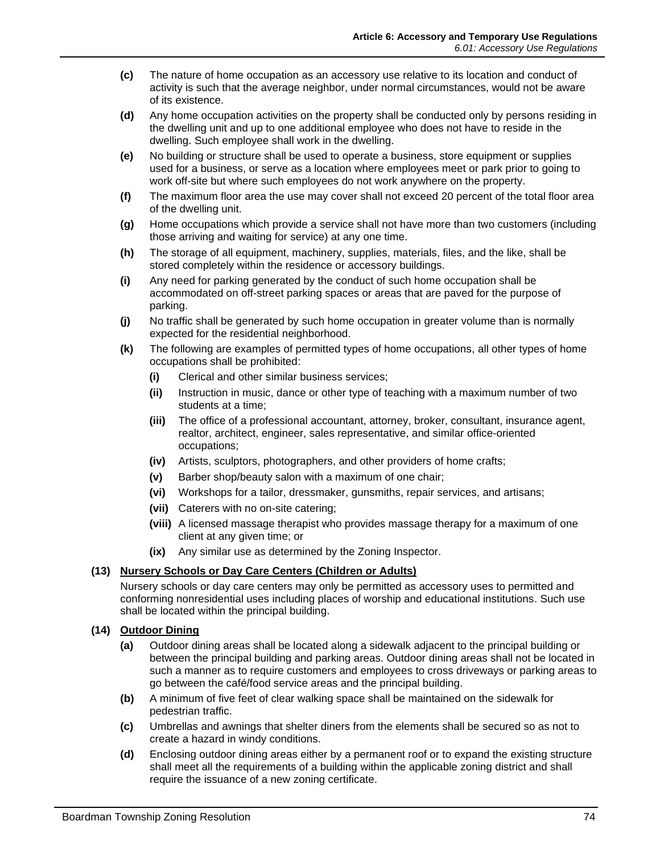- **(c)** The nature of home occupation as an accessory use relative to its location and conduct of activity is such that the average neighbor, under normal circumstances, would not be aware of its existence.
- **(d)** Any home occupation activities on the property shall be conducted only by persons residing in the dwelling unit and up to one additional employee who does not have to reside in the dwelling. Such employee shall work in the dwelling.
- **(e)** No building or structure shall be used to operate a business, store equipment or supplies used for a business, or serve as a location where employees meet or park prior to going to work off-site but where such employees do not work anywhere on the property.
- **(f)** The maximum floor area the use may cover shall not exceed 20 percent of the total floor area of the dwelling unit.
- **(g)** Home occupations which provide a service shall not have more than two customers (including those arriving and waiting for service) at any one time.
- **(h)** The storage of all equipment, machinery, supplies, materials, files, and the like, shall be stored completely within the residence or accessory buildings.
- **(i)** Any need for parking generated by the conduct of such home occupation shall be accommodated on off-street parking spaces or areas that are paved for the purpose of parking.
- **(j)** No traffic shall be generated by such home occupation in greater volume than is normally expected for the residential neighborhood.
- **(k)** The following are examples of permitted types of home occupations, all other types of home occupations shall be prohibited:
	- **(i)** Clerical and other similar business services;
	- **(ii)** Instruction in music, dance or other type of teaching with a maximum number of two students at a time;
	- **(iii)** The office of a professional accountant, attorney, broker, consultant, insurance agent, realtor, architect, engineer, sales representative, and similar office-oriented occupations;
	- **(iv)** Artists, sculptors, photographers, and other providers of home crafts;
	- **(v)** Barber shop/beauty salon with a maximum of one chair;
	- **(vi)** Workshops for a tailor, dressmaker, gunsmiths, repair services, and artisans;
	- **(vii)** Caterers with no on-site catering;
	- **(viii)** A licensed massage therapist who provides massage therapy for a maximum of one client at any given time; or
	- **(ix)** Any similar use as determined by the Zoning Inspector.

# <span id="page-7-0"></span>**(13) Nursery Schools or Day Care Centers (Children or Adults)**

Nursery schools or day care centers may only be permitted as accessory uses to permitted and conforming nonresidential uses including places of worship and educational institutions. Such use shall be located within the principal building.

# <span id="page-7-1"></span>**(14) Outdoor Dining**

- **(a)** Outdoor dining areas shall be located along a sidewalk adjacent to the principal building or between the principal building and parking areas. Outdoor dining areas shall not be located in such a manner as to require customers and employees to cross driveways or parking areas to go between the café/food service areas and the principal building.
- **(b)** A minimum of five feet of clear walking space shall be maintained on the sidewalk for pedestrian traffic.
- **(c)** Umbrellas and awnings that shelter diners from the elements shall be secured so as not to create a hazard in windy conditions.
- **(d)** Enclosing outdoor dining areas either by a permanent roof or to expand the existing structure shall meet all the requirements of a building within the applicable zoning district and shall require the issuance of a new zoning certificate.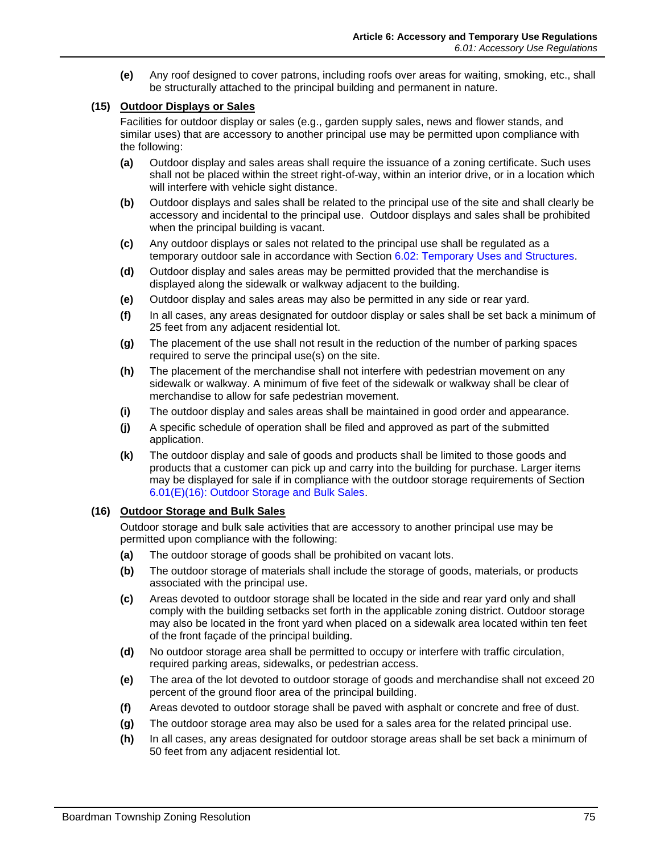**(e)** Any roof designed to cover patrons, including roofs over areas for waiting, smoking, etc., shall be structurally attached to the principal building and permanent in nature.

# <span id="page-8-0"></span>**(15) Outdoor Displays or Sales**

Facilities for outdoor display or sales (e.g., garden supply sales, news and flower stands, and similar uses) that are accessory to another principal use may be permitted upon compliance with the following:

- **(a)** Outdoor display and sales areas shall require the issuance of a zoning certificate. Such uses shall not be placed within the street right-of-way, within an interior drive, or in a location which will interfere with vehicle sight distance.
- **(b)** Outdoor displays and sales shall be related to the principal use of the site and shall clearly be accessory and incidental to the principal use. Outdoor displays and sales shall be prohibited when the principal building is vacant.
- **(c)** Any outdoor displays or sales not related to the principal use shall be regulated as a temporary outdoor sale in accordance with Section [6.02: Temporary Uses and Structures.](#page-13-0)
- **(d)** Outdoor display and sales areas may be permitted provided that the merchandise is displayed along the sidewalk or walkway adjacent to the building.
- **(e)** Outdoor display and sales areas may also be permitted in any side or rear yard.
- **(f)** In all cases, any areas designated for outdoor display or sales shall be set back a minimum of 25 feet from any adjacent residential lot.
- **(g)** The placement of the use shall not result in the reduction of the number of parking spaces required to serve the principal use(s) on the site.
- **(h)** The placement of the merchandise shall not interfere with pedestrian movement on any sidewalk or walkway. A minimum of five feet of the sidewalk or walkway shall be clear of merchandise to allow for safe pedestrian movement.
- **(i)** The outdoor display and sales areas shall be maintained in good order and appearance.
- **(j)** A specific schedule of operation shall be filed and approved as part of the submitted application.
- **(k)** The outdoor display and sale of goods and products shall be limited to those goods and products that a customer can pick up and carry into the building for purchase. Larger items may be displayed for sale if in compliance with the outdoor storage requirements of Section [6.01\(E\)\(16\): Outdoor Storage and Bulk Sales.](#page-8-1)

# <span id="page-8-1"></span>**(16) Outdoor Storage and Bulk Sales**

Outdoor storage and bulk sale activities that are accessory to another principal use may be permitted upon compliance with the following:

- **(a)** The outdoor storage of goods shall be prohibited on vacant lots.
- **(b)** The outdoor storage of materials shall include the storage of goods, materials, or products associated with the principal use.
- **(c)** Areas devoted to outdoor storage shall be located in the side and rear yard only and shall comply with the building setbacks set forth in the applicable zoning district. Outdoor storage may also be located in the front yard when placed on a sidewalk area located within ten feet of the front façade of the principal building.
- **(d)** No outdoor storage area shall be permitted to occupy or interfere with traffic circulation, required parking areas, sidewalks, or pedestrian access.
- **(e)** The area of the lot devoted to outdoor storage of goods and merchandise shall not exceed 20 percent of the ground floor area of the principal building.
- **(f)** Areas devoted to outdoor storage shall be paved with asphalt or concrete and free of dust.
- **(g)** The outdoor storage area may also be used for a sales area for the related principal use.
- **(h)** In all cases, any areas designated for outdoor storage areas shall be set back a minimum of 50 feet from any adjacent residential lot.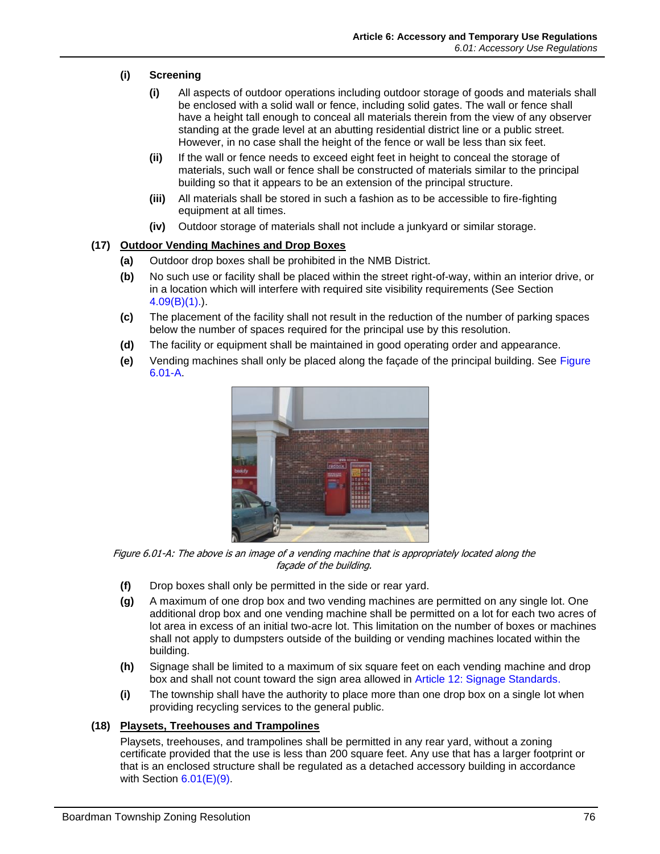# **(i) Screening**

- **(i)** All aspects of outdoor operations including outdoor storage of goods and materials shall be enclosed with a solid wall or fence, including solid gates. The wall or fence shall have a height tall enough to conceal all materials therein from the view of any observer standing at the grade level at an abutting residential district line or a public street. However, in no case shall the height of the fence or wall be less than six feet.
- **(ii)** If the wall or fence needs to exceed eight feet in height to conceal the storage of materials, such wall or fence shall be constructed of materials similar to the principal building so that it appears to be an extension of the principal structure.
- **(iii)** All materials shall be stored in such a fashion as to be accessible to fire-fighting equipment at all times.
- **(iv)** Outdoor storage of materials shall not include a junkyard or similar storage.

# <span id="page-9-0"></span>**(17) Outdoor Vending Machines and Drop Boxes**

- **(a)** Outdoor drop boxes shall be prohibited in the NMB District.
- **(b)** No such use or facility shall be placed within the street right-of-way, within an interior drive, or in a location which will interfere with required site visibility requirements (See Section 4.09(B)(1).).
- **(c)** The placement of the facility shall not result in the reduction of the number of parking spaces below the number of spaces required for the principal use by this resolution.
- **(d)** The facility or equipment shall be maintained in good operating order and appearance.
- **(e)** Vending machines shall only be placed along the façade of the principal building. See [Figure](#page-9-2)  [6.01-A.](#page-9-2)



Figure 6.01-A: The above is an image of a vending machine that is appropriately located along the façade of the building.

- <span id="page-9-2"></span>**(f)** Drop boxes shall only be permitted in the side or rear yard.
- **(g)** A maximum of one drop box and two vending machines are permitted on any single lot. One additional drop box and one vending machine shall be permitted on a lot for each two acres of lot area in excess of an initial two-acre lot. This limitation on the number of boxes or machines shall not apply to dumpsters outside of the building or vending machines located within the building.
- **(h)** Signage shall be limited to a maximum of six square feet on each vending machine and drop box and shall not count toward the sign area allowed in Article 12: Signage Standards.
- **(i)** The township shall have the authority to place more than one drop box on a single lot when providing recycling services to the general public.

# <span id="page-9-1"></span>**(18) Playsets, Treehouses and Trampolines**

Playsets, treehouses, and trampolines shall be permitted in any rear yard, without a zoning certificate provided that the use is less than 200 square feet. Any use that has a larger footprint or that is an enclosed structure shall be regulated as a detached accessory building in accordance with Section  $6.01(E)(9)$ .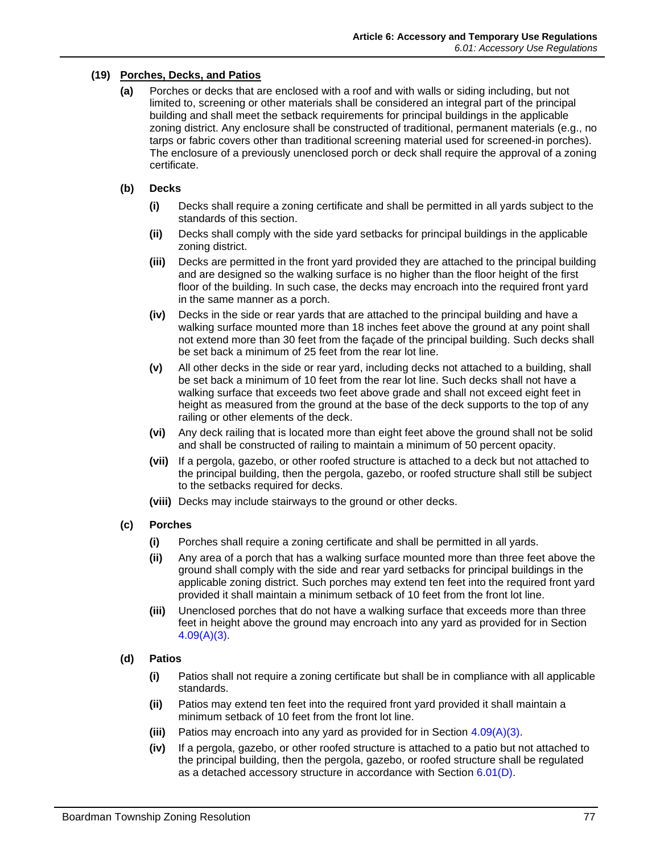# <span id="page-10-0"></span>**(19) Porches, Decks, and Patios**

**(a)** Porches or decks that are enclosed with a roof and with walls or siding including, but not limited to, screening or other materials shall be considered an integral part of the principal building and shall meet the setback requirements for principal buildings in the applicable zoning district. Any enclosure shall be constructed of traditional, permanent materials (e.g., no tarps or fabric covers other than traditional screening material used for screened-in porches). The enclosure of a previously unenclosed porch or deck shall require the approval of a zoning certificate.

#### **(b) Decks**

- **(i)** Decks shall require a zoning certificate and shall be permitted in all yards subject to the standards of this section.
- **(ii)** Decks shall comply with the side yard setbacks for principal buildings in the applicable zoning district.
- **(iii)** Decks are permitted in the front yard provided they are attached to the principal building and are designed so the walking surface is no higher than the floor height of the first floor of the building. In such case, the decks may encroach into the required front yard in the same manner as a porch.
- **(iv)** Decks in the side or rear yards that are attached to the principal building and have a walking surface mounted more than 18 inches feet above the ground at any point shall not extend more than 30 feet from the façade of the principal building. Such decks shall be set back a minimum of 25 feet from the rear lot line.
- **(v)** All other decks in the side or rear yard, including decks not attached to a building, shall be set back a minimum of 10 feet from the rear lot line. Such decks shall not have a walking surface that exceeds two feet above grade and shall not exceed eight feet in height as measured from the ground at the base of the deck supports to the top of any railing or other elements of the deck.
- **(vi)** Any deck railing that is located more than eight feet above the ground shall not be solid and shall be constructed of railing to maintain a minimum of 50 percent opacity.
- **(vii)** If a pergola, gazebo, or other roofed structure is attached to a deck but not attached to the principal building, then the pergola, gazebo, or roofed structure shall still be subject to the setbacks required for decks.
- **(viii)** Decks may include stairways to the ground or other decks.

# **(c) Porches**

- **(i)** Porches shall require a zoning certificate and shall be permitted in all yards.
- **(ii)** Any area of a porch that has a walking surface mounted more than three feet above the ground shall comply with the side and rear yard setbacks for principal buildings in the applicable zoning district. Such porches may extend ten feet into the required front yard provided it shall maintain a minimum setback of 10 feet from the front lot line.
- **(iii)** Unenclosed porches that do not have a walking surface that exceeds more than three feet in height above the ground may encroach into any yard as provided for in Section 4.09(A)(3).

# **(d) Patios**

- **(i)** Patios shall not require a zoning certificate but shall be in compliance with all applicable standards.
- **(ii)** Patios may extend ten feet into the required front yard provided it shall maintain a minimum setback of 10 feet from the front lot line.
- **(iii)** Patios may encroach into any yard as provided for in Section 4.09(A)(3).
- **(iv)** If a pergola, gazebo, or other roofed structure is attached to a patio but not attached to the principal building, then the pergola, gazebo, or roofed structure shall be regulated as a detached accessory structure in accordance with Section [6.01\(D\).](#page-1-2)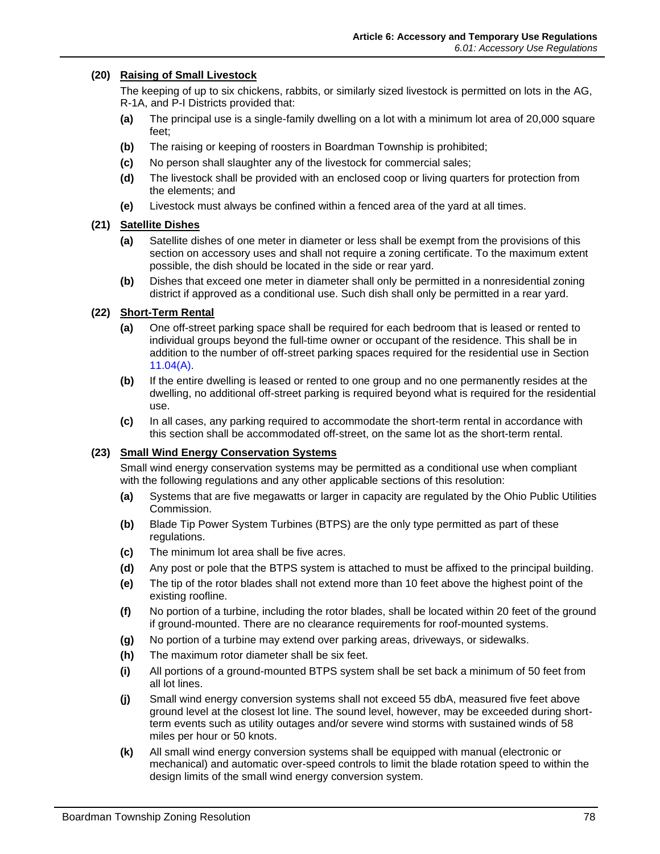#### <span id="page-11-0"></span>**(20) Raising of Small Livestock**

The keeping of up to six chickens, rabbits, or similarly sized livestock is permitted on lots in the AG, R-1A, and P-I Districts provided that:

- **(a)** The principal use is a single-family dwelling on a lot with a minimum lot area of 20,000 square feet;
- **(b)** The raising or keeping of roosters in Boardman Township is prohibited;
- **(c)** No person shall slaughter any of the livestock for commercial sales;
- **(d)** The livestock shall be provided with an enclosed coop or living quarters for protection from the elements; and
- **(e)** Livestock must always be confined within a fenced area of the yard at all times.

#### <span id="page-11-1"></span>**(21) Satellite Dishes**

- **(a)** Satellite dishes of one meter in diameter or less shall be exempt from the provisions of this section on accessory uses and shall not require a zoning certificate. To the maximum extent possible, the dish should be located in the side or rear yard.
- **(b)** Dishes that exceed one meter in diameter shall only be permitted in a nonresidential zoning district if approved as a conditional use. Such dish shall only be permitted in a rear yard.

#### <span id="page-11-2"></span>**(22) Short-Term Rental**

- **(a)** One off-street parking space shall be required for each bedroom that is leased or rented to individual groups beyond the full-time owner or occupant of the residence. This shall be in addition to the number of off-street parking spaces required for the residential use in Section 11.04(A).
- **(b)** If the entire dwelling is leased or rented to one group and no one permanently resides at the dwelling, no additional off-street parking is required beyond what is required for the residential use.
- **(c)** In all cases, any parking required to accommodate the short-term rental in accordance with this section shall be accommodated off-street, on the same lot as the short-term rental.

#### <span id="page-11-3"></span>**(23) Small Wind Energy Conservation Systems**

Small wind energy conservation systems may be permitted as a conditional use when compliant with the following regulations and any other applicable sections of this resolution:

- **(a)** Systems that are five megawatts or larger in capacity are regulated by the Ohio Public Utilities Commission.
- **(b)** Blade Tip Power System Turbines (BTPS) are the only type permitted as part of these regulations.
- **(c)** The minimum lot area shall be five acres.
- **(d)** Any post or pole that the BTPS system is attached to must be affixed to the principal building.
- **(e)** The tip of the rotor blades shall not extend more than 10 feet above the highest point of the existing roofline.
- **(f)** No portion of a turbine, including the rotor blades, shall be located within 20 feet of the ground if ground-mounted. There are no clearance requirements for roof-mounted systems.
- **(g)** No portion of a turbine may extend over parking areas, driveways, or sidewalks.
- **(h)** The maximum rotor diameter shall be six feet.
- **(i)** All portions of a ground-mounted BTPS system shall be set back a minimum of 50 feet from all lot lines.
- **(j)** Small wind energy conversion systems shall not exceed 55 dbA, measured five feet above ground level at the closest lot line. The sound level, however, may be exceeded during shortterm events such as utility outages and/or severe wind storms with sustained winds of 58 miles per hour or 50 knots.
- **(k)** All small wind energy conversion systems shall be equipped with manual (electronic or mechanical) and automatic over-speed controls to limit the blade rotation speed to within the design limits of the small wind energy conversion system.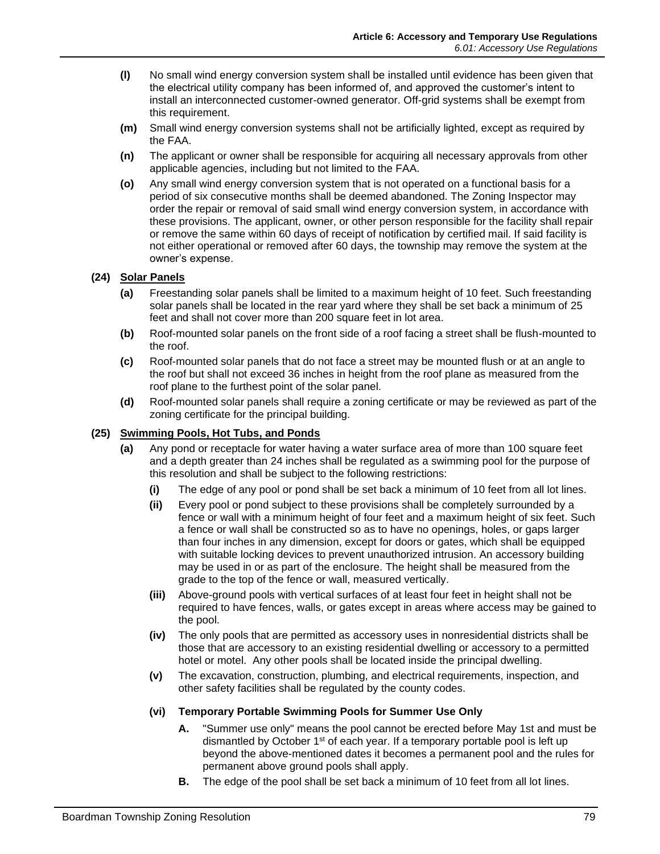- **(l)** No small wind energy conversion system shall be installed until evidence has been given that the electrical utility company has been informed of, and approved the customer's intent to install an interconnected customer-owned generator. Off-grid systems shall be exempt from this requirement.
- **(m)** Small wind energy conversion systems shall not be artificially lighted, except as required by the FAA.
- **(n)** The applicant or owner shall be responsible for acquiring all necessary approvals from other applicable agencies, including but not limited to the FAA.
- **(o)** Any small wind energy conversion system that is not operated on a functional basis for a period of six consecutive months shall be deemed abandoned. The Zoning Inspector may order the repair or removal of said small wind energy conversion system, in accordance with these provisions. The applicant, owner, or other person responsible for the facility shall repair or remove the same within 60 days of receipt of notification by certified mail. If said facility is not either operational or removed after 60 days, the township may remove the system at the owner's expense.

# <span id="page-12-0"></span>**(24) Solar Panels**

- **(a)** Freestanding solar panels shall be limited to a maximum height of 10 feet. Such freestanding solar panels shall be located in the rear yard where they shall be set back a minimum of 25 feet and shall not cover more than 200 square feet in lot area.
- **(b)** Roof-mounted solar panels on the front side of a roof facing a street shall be flush-mounted to the roof.
- **(c)** Roof-mounted solar panels that do not face a street may be mounted flush or at an angle to the roof but shall not exceed 36 inches in height from the roof plane as measured from the roof plane to the furthest point of the solar panel.
- **(d)** Roof-mounted solar panels shall require a zoning certificate or may be reviewed as part of the zoning certificate for the principal building.

# <span id="page-12-1"></span>**(25) Swimming Pools, Hot Tubs, and Ponds**

- **(a)** Any pond or receptacle for water having a water surface area of more than 100 square feet and a depth greater than 24 inches shall be regulated as a swimming pool for the purpose of this resolution and shall be subject to the following restrictions:
	- **(i)** The edge of any pool or pond shall be set back a minimum of 10 feet from all lot lines.
	- **(ii)** Every pool or pond subject to these provisions shall be completely surrounded by a fence or wall with a minimum height of four feet and a maximum height of six feet. Such a fence or wall shall be constructed so as to have no openings, holes, or gaps larger than four inches in any dimension, except for doors or gates, which shall be equipped with suitable locking devices to prevent unauthorized intrusion. An accessory building may be used in or as part of the enclosure. The height shall be measured from the grade to the top of the fence or wall, measured vertically.
	- **(iii)** Above-ground pools with vertical surfaces of at least four feet in height shall not be required to have fences, walls, or gates except in areas where access may be gained to the pool.
	- **(iv)** The only pools that are permitted as accessory uses in nonresidential districts shall be those that are accessory to an existing residential dwelling or accessory to a permitted hotel or motel. Any other pools shall be located inside the principal dwelling.
	- **(v)** The excavation, construction, plumbing, and electrical requirements, inspection, and other safety facilities shall be regulated by the county codes.
	- **(vi) Temporary Portable Swimming Pools for Summer Use Only**
		- **A.** "Summer use only" means the pool cannot be erected before May 1st and must be dismantled by October 1<sup>st</sup> of each year. If a temporary portable pool is left up beyond the above-mentioned dates it becomes a permanent pool and the rules for permanent above ground pools shall apply.
		- **B.** The edge of the pool shall be set back a minimum of 10 feet from all lot lines.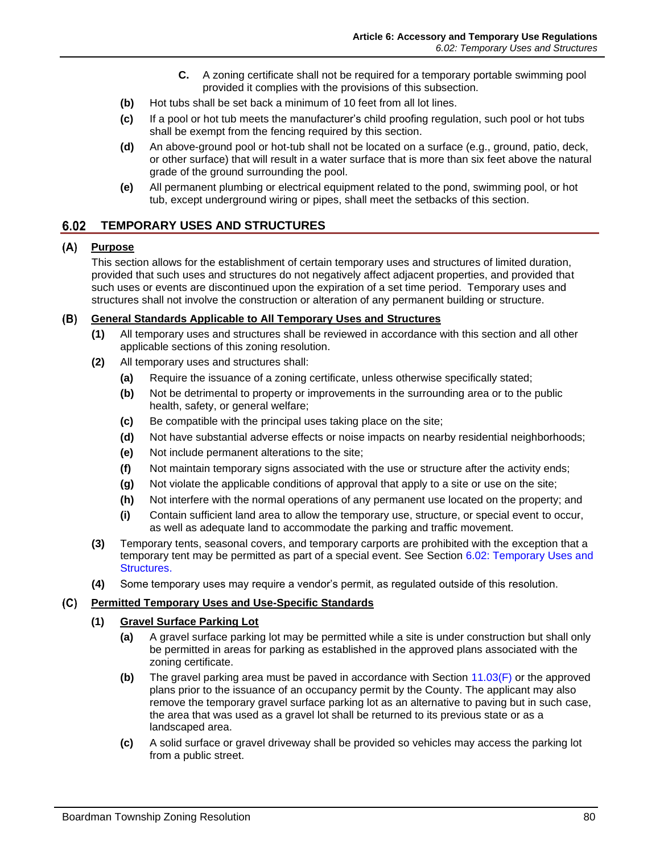- **C.** A zoning certificate shall not be required for a temporary portable swimming pool provided it complies with the provisions of this subsection.
- **(b)** Hot tubs shall be set back a minimum of 10 feet from all lot lines.
- **(c)** If a pool or hot tub meets the manufacturer's child proofing regulation, such pool or hot tubs shall be exempt from the fencing required by this section.
- **(d)** An above-ground pool or hot-tub shall not be located on a surface (e.g., ground, patio, deck, or other surface) that will result in a water surface that is more than six feet above the natural grade of the ground surrounding the pool.
- **(e)** All permanent plumbing or electrical equipment related to the pond, swimming pool, or hot tub, except underground wiring or pipes, shall meet the setbacks of this section.

#### <span id="page-13-0"></span> $6.02$ **TEMPORARY USES AND STRUCTURES**

# **Purpose**

This section allows for the establishment of certain temporary uses and structures of limited duration, provided that such uses and structures do not negatively affect adjacent properties, and provided that such uses or events are discontinued upon the expiration of a set time period. Temporary uses and structures shall not involve the construction or alteration of any permanent building or structure.

#### **General Standards Applicable to All Temporary Uses and Structures**

- **(1)** All temporary uses and structures shall be reviewed in accordance with this section and all other applicable sections of this zoning resolution.
- **(2)** All temporary uses and structures shall:
	- **(a)** Require the issuance of a zoning certificate, unless otherwise specifically stated;
	- **(b)** Not be detrimental to property or improvements in the surrounding area or to the public health, safety, or general welfare;
	- **(c)** Be compatible with the principal uses taking place on the site;
	- **(d)** Not have substantial adverse effects or noise impacts on nearby residential neighborhoods;
	- **(e)** Not include permanent alterations to the site;
	- **(f)** Not maintain temporary signs associated with the use or structure after the activity ends;
	- **(g)** Not violate the applicable conditions of approval that apply to a site or use on the site;
	- **(h)** Not interfere with the normal operations of any permanent use located on the property; and
	- **(i)** Contain sufficient land area to allow the temporary use, structure, or special event to occur, as well as adequate land to accommodate the parking and traffic movement.
- **(3)** Temporary tents, seasonal covers, and temporary carports are prohibited with the exception that a temporary tent may be permitted as part of a special event. See Section [6.02: Temporary Uses and](#page-13-0)  [Structures.](#page-13-0)
- **(4)** Some temporary uses may require a vendor's permit, as regulated outside of this resolution.

# **Permitted Temporary Uses and Use-Specific Standards**

# **(1) Gravel Surface Parking Lot**

- **(a)** A gravel surface parking lot may be permitted while a site is under construction but shall only be permitted in areas for parking as established in the approved plans associated with the zoning certificate.
- **(b)** The gravel parking area must be paved in accordance with Section 11.03(F) or the approved plans prior to the issuance of an occupancy permit by the County. The applicant may also remove the temporary gravel surface parking lot as an alternative to paving but in such case, the area that was used as a gravel lot shall be returned to its previous state or as a landscaped area.
- **(c)** A solid surface or gravel driveway shall be provided so vehicles may access the parking lot from a public street.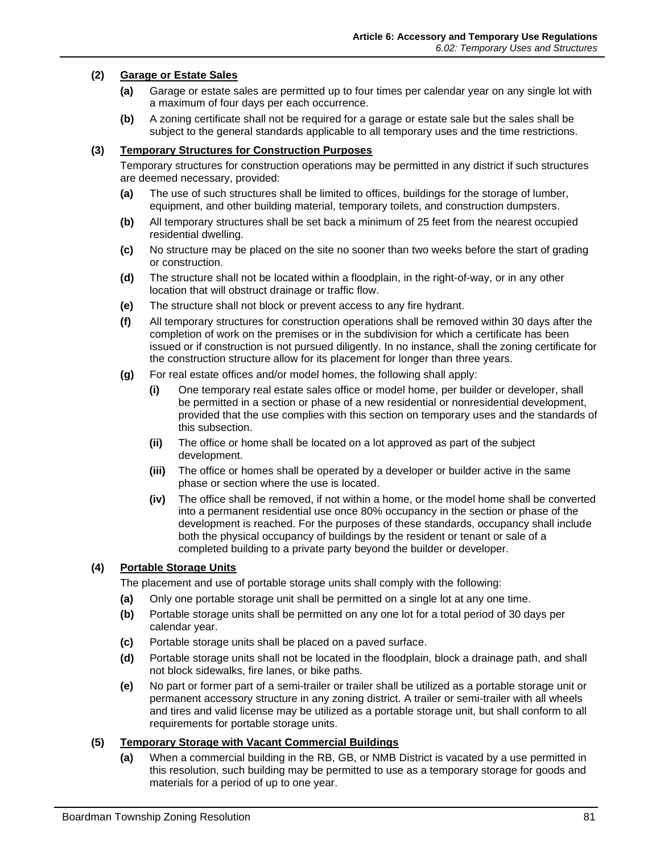#### **(2) Garage or Estate Sales**

- **(a)** Garage or estate sales are permitted up to four times per calendar year on any single lot with a maximum of four days per each occurrence.
- **(b)** A zoning certificate shall not be required for a garage or estate sale but the sales shall be subject to the general standards applicable to all temporary uses and the time restrictions.

#### **(3) Temporary Structures for Construction Purposes**

Temporary structures for construction operations may be permitted in any district if such structures are deemed necessary, provided:

- **(a)** The use of such structures shall be limited to offices, buildings for the storage of lumber, equipment, and other building material, temporary toilets, and construction dumpsters.
- **(b)** All temporary structures shall be set back a minimum of 25 feet from the nearest occupied residential dwelling.
- **(c)** No structure may be placed on the site no sooner than two weeks before the start of grading or construction.
- **(d)** The structure shall not be located within a floodplain, in the right-of-way, or in any other location that will obstruct drainage or traffic flow.
- **(e)** The structure shall not block or prevent access to any fire hydrant.
- **(f)** All temporary structures for construction operations shall be removed within 30 days after the completion of work on the premises or in the subdivision for which a certificate has been issued or if construction is not pursued diligently. In no instance, shall the zoning certificate for the construction structure allow for its placement for longer than three years.
- **(g)** For real estate offices and/or model homes, the following shall apply:
	- **(i)** One temporary real estate sales office or model home, per builder or developer, shall be permitted in a section or phase of a new residential or nonresidential development, provided that the use complies with this section on temporary uses and the standards of this subsection.
	- **(ii)** The office or home shall be located on a lot approved as part of the subject development.
	- **(iii)** The office or homes shall be operated by a developer or builder active in the same phase or section where the use is located.
	- **(iv)** The office shall be removed, if not within a home, or the model home shall be converted into a permanent residential use once 80% occupancy in the section or phase of the development is reached. For the purposes of these standards, occupancy shall include both the physical occupancy of buildings by the resident or tenant or sale of a completed building to a private party beyond the builder or developer.

# **(4) Portable Storage Units**

The placement and use of portable storage units shall comply with the following:

- **(a)** Only one portable storage unit shall be permitted on a single lot at any one time.
- **(b)** Portable storage units shall be permitted on any one lot for a total period of 30 days per calendar year.
- **(c)** Portable storage units shall be placed on a paved surface.
- **(d)** Portable storage units shall not be located in the floodplain, block a drainage path, and shall not block sidewalks, fire lanes, or bike paths.
- **(e)** No part or former part of a semi-trailer or trailer shall be utilized as a portable storage unit or permanent accessory structure in any zoning district. A trailer or semi-trailer with all wheels and tires and valid license may be utilized as a portable storage unit, but shall conform to all requirements for portable storage units.

# **(5) Temporary Storage with Vacant Commercial Buildings**

**(a)** When a commercial building in the RB, GB, or NMB District is vacated by a use permitted in this resolution, such building may be permitted to use as a temporary storage for goods and materials for a period of up to one year.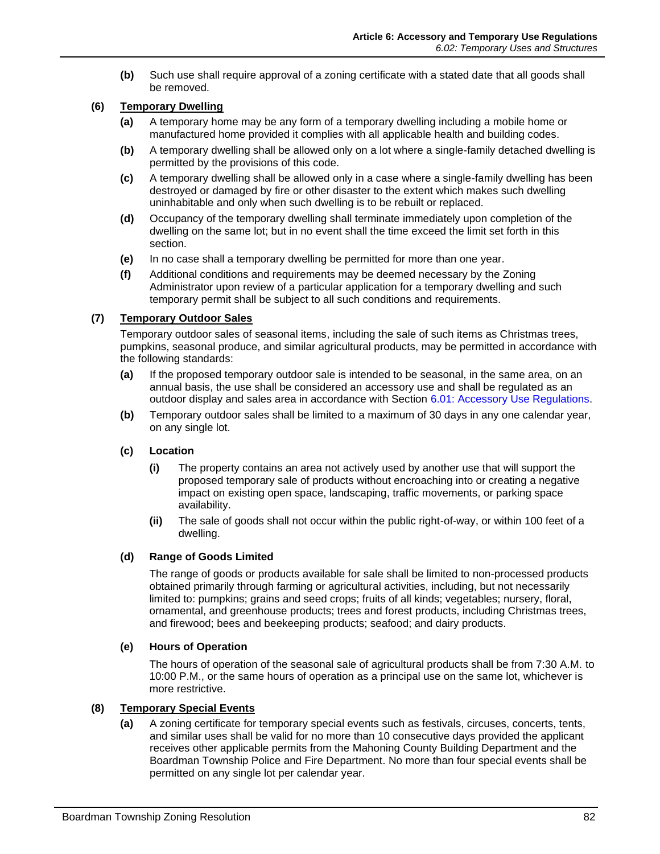**(b)** Such use shall require approval of a zoning certificate with a stated date that all goods shall be removed.

# **(6) Temporary Dwelling**

- **(a)** A temporary home may be any form of a temporary dwelling including a mobile home or manufactured home provided it complies with all applicable health and building codes.
- **(b)** A temporary dwelling shall be allowed only on a lot where a single-family detached dwelling is permitted by the provisions of this code.
- **(c)** A temporary dwelling shall be allowed only in a case where a single-family dwelling has been destroyed or damaged by fire or other disaster to the extent which makes such dwelling uninhabitable and only when such dwelling is to be rebuilt or replaced.
- **(d)** Occupancy of the temporary dwelling shall terminate immediately upon completion of the dwelling on the same lot; but in no event shall the time exceed the limit set forth in this section.
- **(e)** In no case shall a temporary dwelling be permitted for more than one year.
- **(f)** Additional conditions and requirements may be deemed necessary by the Zoning Administrator upon review of a particular application for a temporary dwelling and such temporary permit shall be subject to all such conditions and requirements.

#### **(7) Temporary Outdoor Sales**

Temporary outdoor sales of seasonal items, including the sale of such items as Christmas trees, pumpkins, seasonal produce, and similar agricultural products, may be permitted in accordance with the following standards:

- **(a)** If the proposed temporary outdoor sale is intended to be seasonal, in the same area, on an annual basis, the use shall be considered an accessory use and shall be regulated as an outdoor display and sales area in accordance with Section [6.01: Accessory Use Regulations.](#page-0-1)
- **(b)** Temporary outdoor sales shall be limited to a maximum of 30 days in any one calendar year, on any single lot.

#### **(c) Location**

- **(i)** The property contains an area not actively used by another use that will support the proposed temporary sale of products without encroaching into or creating a negative impact on existing open space, landscaping, traffic movements, or parking space availability.
- **(ii)** The sale of goods shall not occur within the public right-of-way, or within 100 feet of a dwelling.

#### **(d) Range of Goods Limited**

The range of goods or products available for sale shall be limited to non-processed products obtained primarily through farming or agricultural activities, including, but not necessarily limited to: pumpkins; grains and seed crops; fruits of all kinds; vegetables; nursery, floral, ornamental, and greenhouse products; trees and forest products, including Christmas trees, and firewood; bees and beekeeping products; seafood; and dairy products.

#### **(e) Hours of Operation**

The hours of operation of the seasonal sale of agricultural products shall be from 7:30 A.M. to 10:00 P.M., or the same hours of operation as a principal use on the same lot, whichever is more restrictive.

#### **(8) Temporary Special Events**

**(a)** A zoning certificate for temporary special events such as festivals, circuses, concerts, tents, and similar uses shall be valid for no more than 10 consecutive days provided the applicant receives other applicable permits from the Mahoning County Building Department and the Boardman Township Police and Fire Department. No more than four special events shall be permitted on any single lot per calendar year.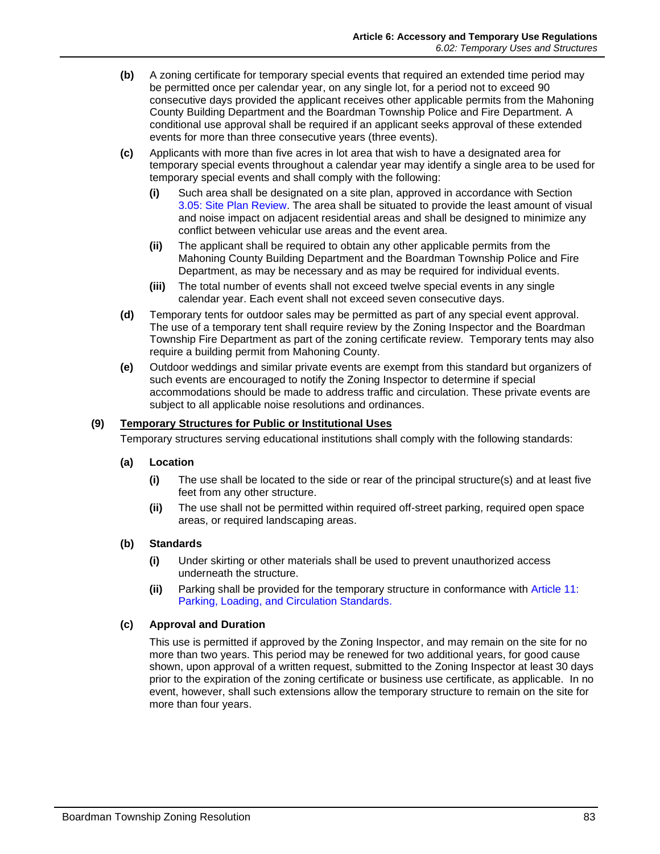- **(b)** A zoning certificate for temporary special events that required an extended time period may be permitted once per calendar year, on any single lot, for a period not to exceed 90 consecutive days provided the applicant receives other applicable permits from the Mahoning County Building Department and the Boardman Township Police and Fire Department. A conditional use approval shall be required if an applicant seeks approval of these extended events for more than three consecutive years (three events).
- **(c)** Applicants with more than five acres in lot area that wish to have a designated area for temporary special events throughout a calendar year may identify a single area to be used for temporary special events and shall comply with the following:
	- **(i)** Such area shall be designated on a site plan, approved in accordance with Section 3.05: Site Plan Review. The area shall be situated to provide the least amount of visual and noise impact on adjacent residential areas and shall be designed to minimize any conflict between vehicular use areas and the event area.
	- **(ii)** The applicant shall be required to obtain any other applicable permits from the Mahoning County Building Department and the Boardman Township Police and Fire Department, as may be necessary and as may be required for individual events.
	- **(iii)** The total number of events shall not exceed twelve special events in any single calendar year. Each event shall not exceed seven consecutive days.
- **(d)** Temporary tents for outdoor sales may be permitted as part of any special event approval. The use of a temporary tent shall require review by the Zoning Inspector and the Boardman Township Fire Department as part of the zoning certificate review. Temporary tents may also require a building permit from Mahoning County.
- **(e)** Outdoor weddings and similar private events are exempt from this standard but organizers of such events are encouraged to notify the Zoning Inspector to determine if special accommodations should be made to address traffic and circulation. These private events are subject to all applicable noise resolutions and ordinances.

# **(9) Temporary Structures for Public or Institutional Uses**

Temporary structures serving educational institutions shall comply with the following standards:

#### **(a) Location**

- **(i)** The use shall be located to the side or rear of the principal structure(s) and at least five feet from any other structure.
- **(ii)** The use shall not be permitted within required off-street parking, required open space areas, or required landscaping areas.

# **(b) Standards**

- **(i)** Under skirting or other materials shall be used to prevent unauthorized access underneath the structure.
- **(ii)** Parking shall be provided for the temporary structure in conformance with Article 11: Parking, Loading, and Circulation Standards.

#### **(c) Approval and Duration**

This use is permitted if approved by the Zoning Inspector, and may remain on the site for no more than two years. This period may be renewed for two additional years, for good cause shown, upon approval of a written request, submitted to the Zoning Inspector at least 30 days prior to the expiration of the zoning certificate or business use certificate, as applicable. In no event, however, shall such extensions allow the temporary structure to remain on the site for more than four years.